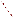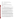## **AGENCY:** ENVIRONMENTAL PROTECTION AGENCY (EPA) **TITLE:** "CLEAN SCHOOL BUS USA ASSISTANCE AGREEMENTS" **ACTION:** Request for Applications (RFA)

**RFA NO:** OAR-CCD-05-13

## **CATALOG OF FEDERAL DOMESTIC ASSISTANCE (CFDA) NO:** 66.036

**SUMMARY:** Formal Agency responses to questions/comments regarding the subject solicitation.

**DATE:** July 1, 2005

Question 1: I understand that up to \$7.5 million will be available in FY 2005 to support 20-30 awards -- are these funding levels fairly stable, likely to change?

Answer 1: Congress has allocated \$7.5 million for a cost-shared grant program for fiscal year 2005. This funding level is stable for 2005. The President's budget for 2006 proposes \$10 million for Clean School Bus USA, but until Congress acts upon that budget and it is signed into law by the President, the future funding level for the program cannot be determined.

Question 2: When was the last time a competitive solicitation for this program was offered? Approximately how many school districts applied, and how many received awards?

Answer 2: The last (and first) competitive solicitation for Clean School Bus USA was issued in April, 2003. The solicitation resulted in approximately 120 applications for the \$5 million allocated by Congress for clean school bus grants. EPA awarded 17 grants that first year, ranging from \$5,000 to \$700,000. In 2004, Congress again allocated \$5 million to EPA for clean school bus projects and EPA awarded 20 grants.

It should be noted that eligibility requirements were different for that first solicitation; nonprofits and local and State governments were eligible to apply, along with school districts. Approximately half of the 120 applications were from school districts, while the other half were from cities, counties, air agencies, States, non-profits and other eligible entities. Of the 60 school districts which applied, seven were awarded with grants in 2003 (10 went to entities other than school districts) and eight were awarded in 2004 (12 went to entities other than school districts).

Question 3: Re the 5% cost sharing requirement -- are cash matches preferred over in-kind contributions? Would providing more than 5% increase the competitiveness of an application?

Answer 3: The RFA does not state a preference for a particular kind of cost-share. The RFA does give preference, however, for a higher percentage of cost-share contributed by the applicant and/or its partners. Ten points of 100 are allocated to this evaluation factor. If the cost-share is to come from a partner, evidence of that should be submitted, such as a letter.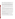Question 4: I see that applications will only be accepted from public school districts, although partnerships with nonprofits are allowed. Is it all right that a non-profit organization proceeds with adding school partners, writes the proposal, coordinates the project, etc.?

Answer 4: It is correct that only applications from school districts will be deemed eligible, as defined in the Request for Applications (Section III.A. Eligibility Information). Non-profit organizations and other non-eligible organizations may, and in fact are encouraged, to team up with school districts to help districts write their grant applications and implement the project. The application must be signed by the appropriate school district official and the grant will be awarded solely to the district. The district is the responsible fiduciary party for the grant funds.

 Question 5: Can a public school system which contracts its transportation services with a private bus company apply with the company to retrofit their buses that they use in that district?

Answer 5: Yes. The school district must be the applicant. The Statement of Work should describe the plan for working with the company to retrofit the buses. A letter of support from the company is suggested.

Question 6: I would like to verify that the assistance offered by this agreement is for diesel engine school buses only. Our district will be replacing an older gasoline engine school bus soon and we are wondering if this assistance might be available to us. At this point, we are unsure if we will be replacing this bus with another gasoline engine bus or a diesel engine bus. We prefer to stick with a gasoline engine, but are finding it difficult to locate what we need with a gasoline engine.

Answer 6: The grant program is designed to modernize diesel school bus fleets. However, older gas engine school buses are also polluters and we would like to get these older models off the road as well. If, in the context of modernizing the rest of a diesel fleet, an applicant proposes to retrofit or replace a gasoline-fueled bus, we would be willing to consider that vehicle along with the rest of the diesel vehicles.

As stated in the request for applications, please keep in mind that it is not EPA's intent to fund replacement projects that would have occurred through the normal attrition of vehicles and equipment or to provide funds for expanding a fleet. Therefore, applicants must provide documentation in their applications that the replacement activity would not have occurred without the financial assistance provided by the agency.

Question 7: I am trying to assist several school districts in my area with this grant application. However I don't know who to advise them regarding Question 16 ( "is the application subject to review by state executive order 12372 process") on the Standard Grant Fund application page.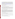Answer 7: The Request for Applications states: "Executive Order 12372, Intergovernmental Review of Federal Programs may be applicable to awards resulting from this announcement. Applicants selected for funding may be required to provide a copy of their proposal to their State Point of Contact (SPOC) for review, pursuant to Executive Order 12372, Intergovernmental Review of Federal Programs. This review is not required with the Initial Proposal and not all states require such a review." Information about this executive order and the list of State Points of Contact can be found at https://www.whitehouse.gov/omb/grants/spoc.html. If your State is listed as having a SPOC, then check "yes" on the application. But be advised that a review is not required at this time for these applications.

Question 8: In the recent notice regarding grants for the Clean School Bus Program, are eligible applicants only school bus fleets?

Answer 8: The only eligible applicants for this competition are school districts, as defined in the request for applications in *Section III, Eligibility Information*.

Question 9: I am writing to determine eligibility for the Clean School Bus Grant program. [Our company] has successfully provided technology to reduce the idling of heavy duty trucks and …I am interesting in finding out what it would take to have this solution verified by the EPA so that we could submit an application for consideration under the Clean School Bus Grant Program.

Answer 9: Regarding your eligibility, only school districts are eligible for this competition (see Question 8). Private companies are not eligible.

Regarding the verification of your anti-idling product, at this time EPA's retrofit verification program does not verify anti-idling technologies. Funds for this grant competition should be used *primarily* for retrofit technologies that are on either California's or EPA's verified list and/or replacements of engines and/or buses. However, the Clean School Bus program strongly supports idling reduction, and urges school districts to put idling reduction management and operational practices in place. Therefore, a school district may submit an application with a small portion of the budget allocated to piloting reduced idling technologies as part of an overall retrofit and/or replacement project.

Question 10: A private school utilizes publicly owned buses to transport its students. Would this entity be eligible to submit a grant application?

Answer 10: No, the private school would not be eligible to receive these funds. However, the school district that owns the buses could apply for, and receive, a grant to retrofit or replace these buses.

Question 11: I am interested in applying for the Clean School Bus USA grant and am wondering if grant funds can be used to purchase biodiesel fuel?"

Answer 11: Yes, grant funds can be used to purchase biodiesel fuel.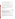Question 12: I am interested in applying for funds under the CSB USA competition for the cost differential of ULSD. Is this allowable under this competition?

Answer 12: Yes, grant funds can be used for the cost differential of ULSD.

Question 13: I noticed that in some information an application due date of July 1st. Is this date correct?

Answer 13: No, this date is incorrect. The correct due date for applications for this solicitation is July  $22<sup>nd</sup>$ . The due date for the intent to apply is June  $24<sup>th</sup>$ .

Question 14: On page 11 of the overview, *Section V*, *Part A* references *Sections II.A* and *II.B*. These references don't make sense in terms of evaluation criteria and I am curious if it is not an error.

Answer 14: Yes, there is an error. The referenced section for the **Project Description and Implementation Plan** should be *Section IV.A.* The referenced section for **Clean Up Effectiveness** should be *Section IV.B.* We regret the error.

*Section V, Part A* should read:

A. Evaluation Factors (Total – 100 points)

| <b>Criterion</b>                                                                                                                                                      | <b>Maximum</b><br>Points per<br><b>Criterion</b> |
|-----------------------------------------------------------------------------------------------------------------------------------------------------------------------|--------------------------------------------------|
| <b>Fleet:</b> Extent to which the proposal adequately describes the fleet and its                                                                                     |                                                  |
| history, and includes a Fleet Information Table, per Section IV.B.                                                                                                    | 10                                               |
| <b>Project Description and Implementation Plan:</b> Extent to which the<br>application ably and thoroughly addresses each of the areas identified in<br>Section IV.A. | 30                                               |
| <b>Clean Up Effectiveness:</b> Extent to which the project employs a highly<br>effective diesel emissions reduction strategy, per Section IV.B.                       |                                                  |

Question 15: Can you please let me know if we should list all the vehicles in our fleet in the fleet information table, some 7,000 school buses, or if we should only list those that we would like to be considered for this program?

Answer 15: Ideally, we would like to see information on every vehicle in the fleet. However, in your case, a fleet information table for the vehicles that you propose to retrofit or replace, and a general description of the rest of the fleet, would be sufficient. Other very large fleets can choose to do the same.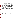Question 16: Can school districts apply for the new Clean School Bus USA funds to develop anti-idling campaigns? Or is the funding only for technology-based approaches?

Answer 16: Related to Question 9 above, funds for this grant competition should be used *primarily* for retrofit technologies that are on either California's or EPA's verified technology list and/or replacements of engines and/or buses. Funds cannot be used to solely fund anti-idling campaigns, but a school district may submit an application with a small portion of the budget allocated to piloting reduced idling technologies as part of an overall retrofit and/or replacement project. Also, as stated in the evaluation criteria in *Section V*. *Policy Support,* extra points will be given to applications that provide written documentation of an existing idling reduction policy.

Question 17: Can one school system apply as the lead agency? If one school system applies, is the average award about between \$200,000 and \$300,000?

Answer 17: Yes, one school system can apply as the lead applicant, and in fact, this is encouraged as smaller school districts do not always have the resources to apply for and manage Federal grants. Applications will receive extra points for covering multiple school districts, as stated in *Section V., Policy Support.* 

It's impossible to predict what the award amount might be for an application covering multiple school districts. The individual award amounts will depend on the quality, number and diversity of applications, as evaluated using the criteria listed in *Section V.* The highest amount that the award could be is \$725,000.

Question 18: May a State Energy Office and/or a Clean Cities organization apply for funding under this solicitation with the intent of distributing the funds to eligible sub grantees?

Answer 18: No, neither State agencies nor non-profits such as Clean Cities organizations are eligible for this competition; only school districts are eligible.

Question 19: Is the biodiesel funded through this program a pure fuel or blended with petroleum?

Answer 19: Funds from this competition may be used to buy any blend of biodiesel.

Question 20: [Our school district] will be applying for the school bus grant and would like to know if [DOC supplier] is an acceptable supplier of catalysts for school bus retrofit or only the companies that appear on the verified list.

Answer 20: Only the DOCs listed on EPA's or California's verified technology lists are acceptable retrofit technologies for this competition.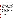Question 21: I understand that the performance period of the grant, as listed on page 6 of the RFA, is "October 2005-October 2007". To be sure I am interpreting this correctly, I would like to pose an example. If a school district applied for, and was granted monies for [a project], would they be able to submit requests…up to October 1, 2007, or October 31, 2007? Likewise, is there a minimum date by which they must start their purchases, and if so, what is that date?

Question 21: You have correctly interpreted the meaning of "performance period" of the grant that grant funds are available from the beginning date through the end date of the performance period. The period cited in the solicitation was an estimate; when the grants are awarded, the performance period will have a specific beginning date and end date and will cover two years. There is no minimum date by which purchases must begin; however, applicants will not be reimbursed for any purchases made *before* the beginning date of the performance period.

Funds should be used before the last date of the performance period. However, under some circumstances, a grantee can ask for a "no-cost extension," which would delay the performance period end date for an agreed-upon amount of time.

Question 22: Since ULSD will be available nationwide by October 15, 2006, and its use mandated by that date, will we still be able to use grant funds to pay for the differential cost of ULSD after October 15, 2006?

Answer 22: Applicants can propose that the grant funds cover the cost differential between ULSD and regular diesel fuel until the end of October, 2006. After October, 2006 ULSD will be available nationwide. After this date, grant funds should not be spent on ULSD.

Question 23: [School District] has contacted us regarding applying for a CSB USA grant to install Donaldson Spiracle Closed Crankcase Filters on buses that have already been retrofitted with DOCs from an earlier CSB USA grant. Donaldson's EPA verification is for a DOC + Spiracle System. Since the buses already have DOCs, would adding Spiracles satisfy the verified product requirement and thus be eligible for a grant?

Answer 23: Yes, most likely, although each case will be different and evaluated using the criteria.

Question 24: Are private school buses eligible to apply?

Answer 24: School buses that belong to private schools are not eligible. School buses that belong to private companies but are contracted to provide transportation for a public school districts are eligible. The school district must be the applicant in this situation.

Question 25: Would EPA consider giving a grant for calming music to be installed on buses?

Answer 25: No, EPA funds in this competition cannot be used for such a purpose.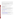Question 26: Regarding the 5% match, does the match have to come from the school district or can it be contributed from the vendor/contractor that they would be purchasing the technology from?

Answer 26: The 5% match can come from the applicant itself, or any other entity. If the 5% match is coming from another organization, a letter of commitment should be included with the application. The 5% match can be cash or in-kind contributions.

Question 27: I've received the forms in the application kit but am unsure of which forms I need to complete and send in. Can you help?

Answer 27: For the July  $22<sup>nd</sup>$  deadline, the applications must contain the following:

- a. Signed Standard Form 424 (one page)
- b. Fleet Information Table
- c. Narrative Work Plan following the **required** outline (10 pages maximum)
- d. Budget Detail & Narrative

In addition, optional materials such as letters of support from potential sub-awardees or partners and/or a copy of the district's idling reduction policy, should be included if applicable.

For more information on what is required in the application, and instructions on where and how to send in the application, please see the Request for Applications, located at http://www.epa.gov/oar/grants/05-13.pdf.

Applicants which are selected will need to fill out the entire application package in order to complete the award process.

Question 28: I cannot seem to download the Standard Form from EPA's web site. Is there another way I can obtain it?

First, make sure you are on the right web page. EPA's grant forms are located at: http://www.epa.gov/ogd/AppKit/application.htm. The Standard Form 424 can be downloaded in Microsoft Word or in PDF. It is also available at this web site in PDF: http://www.whitehouse.gov/omb/grants/sf424.pdf

The application packet is also available on paper and can be mailed to you. Use this web page to order the paper application: http://www.epa.gov/ogd/grants/how to apply.htm#1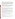Question 29: I am in the process of assisting several municipalities with their grants. Some municipalities only have 10 or so buses. If they were to use oxidation catalysts at roughly \$2000 a piece, the equipment would only cost about \$20,000. Staff time would probably be \$40,000 as a rough, rough estimate. My point is that a small municipality could end up requesting less than \$100,000. Your announcement states that funds will be distributed in average amounts of \$200,000 to \$300,000. If this is the case, would you recommend that smaller districts still apply? Or should this grant be restricted to municipalities with very large fleets (50+ vehicles)? What is the lowest amount of money you would grant?

Answer 29: The average amount of the grants is just an average, designed to give applicants an idea of usual amounts awarded. In the past two years, there were projects awarded as little as \$5000 and as much as \$725,000. There is no minimum amount of funds that can be awarded. And certainly all districts are invited to apply, regardless of the size of the district.

Question 30: Can you provide a definition for bus types A, B, C and D?

Answer 30: Yes. This definition comes from the May, 2005 National Congress on School Transportation.

Type A bus is a van conversion or bus constructed utilizing a cutaway front-section vehicle with a left side driver's door. This definition includes two classifications: Type A-1, with a gross Vehicle Weight Rating of 14,500 pounds or less; and Type A-2, with a GVWR greater than 14,500 and less than or equal to 21,500 pounds.

Type B school bus is constructed utilizing a stripped chassis. The entrance door is behind the front wheels. This definition includes two classifications: Type B-1, with a GVWR of 10,000 pounds or less and Type B-2, with a GVWR greater than 10,000 pounds.

Type C school bus is constructed utilizing a chassis with a hood and front fender assembly. The entrance door is behind the front wheels; also known as a *conventional school bus*. This type also includes cutaway truck chassis or truck chassis with cab with or without a left side door and a GVWR greater than 21,500 pounds.

Type D school bus is constructed utilizing a stripped chassis. The entrance door is ahead of the front wheels; also known as *rear or front engine transit-style school bus*.

Question 31: Can grant funds be used to fund the fuel infrastructure for CNG buses?

Answer 31: No, grants funds cannot be used to fund fuel infrastructure for CNG buses. For more information on

Question 32: The RFA states that EPA will pay for up to 30-45% of the cost of a new bus. Does that mean the district pays for the rest?

Answer 32: Yes, the applicant must supply the remainder of the cost of a new, replacement bus. However, other non-profit and/or governmental entities could contribute as well.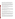US EPA ARCHIVE DOCUMENT

Question 33: Regarding Section 1 - Funding Opportunity Description, B. Scope of Work, paragraph 3, page 3: "Applicants may propose to establish a sub-grant program to multiple school districts and fleets," can a regional Educational Service District (ESD) representing multiple school districts sub-grant the award to a state or local air quality agency?

For example, a regional ESD submits an RFA to EPA to install retrofit technologies for multiple school districts. (Example: 100 buses for 10 rural school districts.) The ESD sub-grants the awarded funds to a state or local air quality agency. Under an existing retrofit contract and at no charge to the ESD, the air quality agency contracts installations for multiple school districts under a single contract. The contractor invoices the state or local air quality agency. The air quality agency pays the contractor for services received.

Answer 33: Yes, any applicant can sub-award any part of the statement of work, such as the purchase and installation of retrofit equipment. The applicant should state their intention to make such a sub-award in their application. The sub-award would be a sub-contract and would be subject to competition under 40 CFR 31.37 (b).

Questions 34: What regions of the US are in greatest need?

Answer 34: EPA believes that every child deserves to ride in a clean school bus, therefore the Agency has not specifically targeted one area of the country over another. Instead, the Agency is targeting the oldest, dirtiest buses. Also, the evaluation panel may consider geographic equity and environmental justice concerns, as defined in *Section V.B., Other Factors*, as they make their decisions about which applications to award.

Question 35: Are multiple district proposals more likely to be funded?

Answer 35: Applications will be evaluated on a number of criteria, per *Section V.A. Evaluation Criteria*. It's impossible to say whether multiple district proposals would be more likely to be funded. However, one of the criteria, *Policy Support*, states that applications will receive extra points for covering multiple school districts.

Question 36: Is it acceptable for [State] to submit an application defining one school district as the main applicant, with several other schools around the state as subgroups for the Clean School Bus grant? I wanted to make sure that we could define these schools in advance and not have to wait to put out a competitive subgrant process if awarded a grant. We are striving to set up model school bus programs around the state and would like to share this funding amongst several school districts.

Answer 36: It is acceptable for a district to submit an application with other school districts listed as potential recipients of sub-grants, sub-awards, or retrofit equipment. It would be helpful to have letters of commitment/interest from these potential school districts submitted with the applications to show support. However, the school district must establish a fair and open process after award for determining which school districts receive the benefits of the grant funds.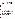Question 37: It seems as if the email inbox address does not work.

Answer 37: It does work. Make sure you are typing CSB, then an underscore, then RFA, then @epa.gov. CSB\_RFA@epa.gov.

Question 38: We received a \$41,000.00 American Lung Association grant via [our State] Clean School Bus Program to convert to Ultra Low Sulfur Fuel for the next school year (July 2005 - May 2006). Can I use this as in-kind money?

Answer 38: Yes, as long as you include the switch to ULSD as a component of your Statement of Work. Make sure you include a letter of commitment from this association.

Question 39: With regard to the Clean School Bus USA request for application OAR-CCD-05- 13, can application be made to retrofit model year 2004 and 2005 school buses? The proposal does not explicitly state that these years will not be considered for retrofits. My reading of the regulations for the 2004 model year versus the 2007 model year would seem to indicate that the 2004 to 2006 models would still have room for improved particulate reductions that could be realized from installation of retrofit devices.

Here is the context of the question: There is a school district that we encouraged to apply for a grant (our PM2.5 monitor which registers well into the nonattainment level is located on the roof of their school, and any reduction could help us reach attainment). However, they told us that their contractor-supplied buses are model year 2004 and 2005. Would it make any sense to retrofit these buses?

Answer 39: If the engines on these buses do not now include retrofit equipment like a filter, a catalyst or crankcase system, then they could be retrofitted with those devices. In addition, they could be run on a cleaner fuel. The school district should check with the school bus contractor to ascertain what, if any, emissions equipment came with the bus.

Question 40: I am a bit unclear what the grant funds. For bus replacement does it only fund 30- 45% of the cost of a new bus or does it fund merely the difference between what a diesel bus vs. a clean fuel bus would cost?

Answer 40: The grant would fund 30-45% of the cost of the entire bus. If the bus costs \$100,000, the applicant can apply for up to 45% of the cost, or \$45,000. However, since districts are competing with other school districts, it might be a good idea to consider whether the entire 45% is needed.

Question 41: How does this funding relate to the statement that this grant requires a 5% contribution of the total project cost? E.g. if the grant funds 30-45% of a new school bus and our district contributes the required 5% contribution who picks up the remaining percentage of the cost?